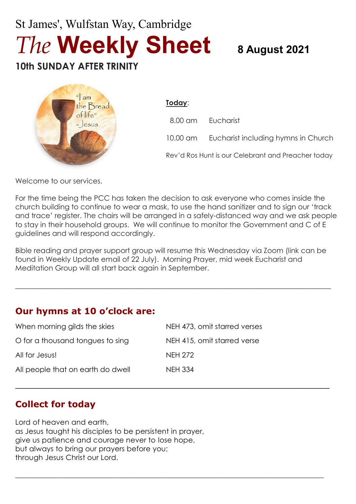# St James', Wulfstan Way, Cambridge *The* **Weekly Sheet <sup>8</sup> August <sup>2021</sup> 10th SUNDAY AFTER TRINITY**



**Today**: 8.00 am Eucharist 10.00 am Eucharist including hymns in Church

Rev'd Ros Hunt is our Celebrant and Preacher today

Welcome to our services.

For the time being the PCC has taken the decision to ask everyone who comes inside the church building to continue to wear a mask, to use the hand sanitizer and to sign our 'track and trace' register. The chairs will be arranged in a safely-distanced way and we ask people to stay in their household groups. We will continue to monitor the Government and C of E guidelines and will respond accordingly.

Bible reading and prayer support group will resume this Wednesday via Zoom (link can be found in Weekly Update email of 22 July). Morning Prayer, mid week Eucharist and Meditation Group will all start back again in September.

 $\_$  , and the set of the set of the set of the set of the set of the set of the set of the set of the set of the set of the set of the set of the set of the set of the set of the set of the set of the set of the set of th

\_\_\_\_\_\_\_\_\_\_\_\_\_\_\_\_\_\_\_\_\_\_\_\_\_\_\_\_\_\_\_\_\_\_\_\_\_\_\_\_\_\_\_\_\_\_\_\_\_\_\_\_\_\_\_\_\_

**\_\_\_\_\_\_\_\_\_\_\_\_\_\_\_\_\_\_\_\_\_\_\_\_\_\_\_\_\_\_\_\_\_\_\_\_\_\_\_\_\_\_\_\_\_\_\_\_\_\_\_\_\_\_\_\_\_\_\_\_\_\_\_\_\_\_\_\_\_\_\_\_\_\_\_\_\_\_\_\_\_\_\_\_\_\_**

## **Our hymns at 10 o'clock are:**

| When morning gilds the skies      | NEH 473, omit starred verses |
|-----------------------------------|------------------------------|
| O for a thousand tongues to sing  | NEH 415, omit starred verse  |
| All for Jesus!                    | <b>NEH 272</b>               |
| All people that on earth do dwell | <b>NEH 334</b>               |

## **Collect for today**

Lord of heaven and earth, as Jesus taught his disciples to be persistent in prayer, give us patience and courage never to lose hope, but always to bring our prayers before you; through Jesus Christ our Lord.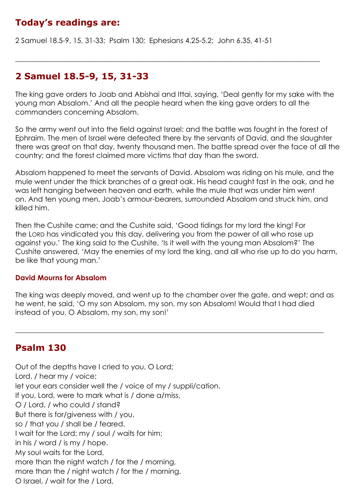# **Today's readings are:**

2 Samuel 18.5-9, 15, 31-33; Psalm 130; Ephesians 4.25-5.2; John 6.35, 41-51

#### **2 Samuel 18.5-9, 15, 31-33**

The king gave orders to Joab and Abishai and Ittai, saying, 'Deal gently for my sake with the young man Absalom.' And all the people heard when the king gave orders to all the commanders concerning Absalom.

 $\_$  , and the set of the set of the set of the set of the set of the set of the set of the set of the set of the set of the set of the set of the set of the set of the set of the set of the set of the set of the set of th

So the army went out into the field against Israel; and the battle was fought in the forest of Ephraim. The men of Israel were defeated there by the servants of David, and the slaughter there was great on that day, twenty thousand men. The battle spread over the face of all the country; and the forest claimed more victims that day than the sword.

Absalom happened to meet the servants of David. Absalom was riding on his mule, and the mule went under the thick branches of a great oak. His head caught fast in the oak, and he was left hanging between heaven and earth, while the mule that was under him went on. And ten young men, Joab's armour-bearers, surrounded Absalom and struck him, and killed him.

Then the Cushite came; and the Cushite said, 'Good tidings for my lord the king! For the LORD has vindicated you this day, delivering you from the power of all who rose up against you.' The king said to the Cushite, 'Is it well with the young man Absalom?' The Cushite answered, 'May the enemies of my lord the king, and all who rise up to do you harm, be like that young man.'

#### **David Mourns for Absalom**

The king was deeply moved, and went up to the chamber over the gate, and wept; and as he went, he said, 'O my son Absalom, my son, my son Absalom! Would that I had died instead of you, O Absalom, my son, my son!'

 $\_$  , and the set of the set of the set of the set of the set of the set of the set of the set of the set of the set of the set of the set of the set of the set of the set of the set of the set of the set of the set of th

#### **Psalm 130**

Out of the depths have I cried to you, O Lord; Lord, / hear my / voice; let your ears consider well the / voice of my / suppli/cation. If you, Lord, were to mark what is / done a/miss, O / Lord, / who could / stand? But there is for/giveness with / you, so / that you / shall be / feared. I wait for the Lord; my / soul / waits for him; in his / word / is my / hope. My soul waits for the Lord, more than the night watch / for the / morning, more than the / night watch / for the / morning. O Israel, / wait for the / Lord,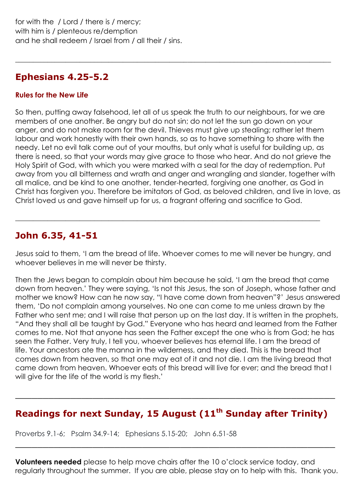#### **Ephesians 4.25-5.2**

#### **Rules for the New Life**

So then, putting away falsehood, let all of us speak the truth to our neighbours, for we are members of one another. Be angry but do not sin; do not let the sun go down on your anger, and do not make room for the devil. Thieves must give up stealing; rather let them labour and work honestly with their own hands, so as to have something to share with the needy. Let no evil talk come out of your mouths, but only what is useful for building up, as there is need, so that your words may give grace to those who hear. And do not grieve the Holy Spirit of God, with which you were marked with a seal for the day of redemption. Put away from you all bitterness and wrath and anger and wrangling and slander, together with all malice, and be kind to one another, tender-hearted, forgiving one another, as God in Christ has forgiven you. Therefore be imitators of God, as beloved children, and live in love, as Christ loved us and gave himself up for us, a fragrant offering and sacrifice to God.

 $\_$  , and the set of the set of the set of the set of the set of the set of the set of the set of the set of the set of the set of the set of the set of the set of the set of the set of the set of the set of the set of th

## **John 6.35, 41-51**

Jesus said to them, 'I am the bread of life. Whoever comes to me will never be hungry, and whoever believes in me will never be thirsty.

 $\_$  , and the set of the set of the set of the set of the set of the set of the set of the set of the set of the set of the set of the set of the set of the set of the set of the set of the set of the set of the set of th

Then the Jews began to complain about him because he said, 'I am the bread that came down from heaven.' They were saying, 'Is not this Jesus, the son of Joseph, whose father and mother we know? How can he now say, "I have come down from heaven"?' Jesus answered them, 'Do not complain among yourselves. No one can come to me unless drawn by the Father who sent me; and I will raise that person up on the last day. It is written in the prophets, "And they shall all be taught by God." Everyone who has heard and learned from the Father comes to me. Not that anyone has seen the Father except the one who is from God; he has seen the Father. Very truly, I tell you, whoever believes has eternal life. I am the bread of life. Your ancestors ate the manna in the wilderness, and they died. This is the bread that comes down from heaven, so that one may eat of it and not die. I am the living bread that came down from heaven. Whoever eats of this bread will live for ever; and the bread that I will give for the life of the world is my flesh.'

## **Readings for next Sunday, 15 August (11 th Sunday after Trinity)**

\_\_\_\_\_\_\_\_\_\_\_\_\_\_\_\_\_\_\_\_\_\_\_\_\_\_\_\_\_\_\_\_\_\_\_\_\_\_\_\_\_\_\_\_\_\_\_\_\_\_\_\_\_\_\_\_\_\_

Proverbs 9.1-6; Psalm 34.9-14; Ephesians 5.15-20; John 6.51-58

**Volunteers needed** please to help move chairs after the 10 o'clock service today, and regularly throughout the summer. If you are able, please stay on to help with this. Thank you.

\_\_\_\_\_\_\_\_\_\_\_\_\_\_\_\_\_\_\_\_\_\_\_\_\_\_\_\_\_\_\_\_\_\_\_\_\_\_\_\_\_\_\_\_\_\_\_\_\_\_\_\_\_\_\_\_\_\_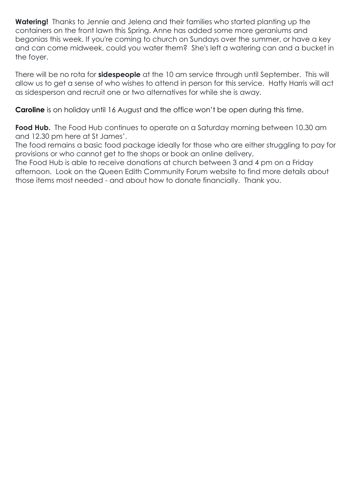**Watering!** Thanks to Jennie and Jelena and their families who started planting up the containers on the front lawn this Spring. Anne has added some more geraniums and begonias this week. If you're coming to church on Sundays over the summer, or have a key and can come midweek, could you water them? She's left a watering can and a bucket in the foyer.

There will be no rota for **sidespeople** at the 10 am service through until September. This will allow us to get a sense of who wishes to attend in person for this service. Hatty Harris will act as sidesperson and recruit one or two alternatives for while she is away.

**Caroline** is on holiday until 16 August and the office won't be open during this time.

**Food Hub.** The Food Hub continues to operate on a Saturday morning between 10.30 am and 12.30 pm here at St James'.

The food remains a basic food package ideally for those who are either struggling to pay for provisions or who cannot get to the shops or book an online delivery.

The Food Hub is able to receive donations at church between 3 and 4 pm on a Friday afternoon. Look on the Queen Edith Community Forum website to find more details about those items most needed - and about how to donate financially. Thank you.